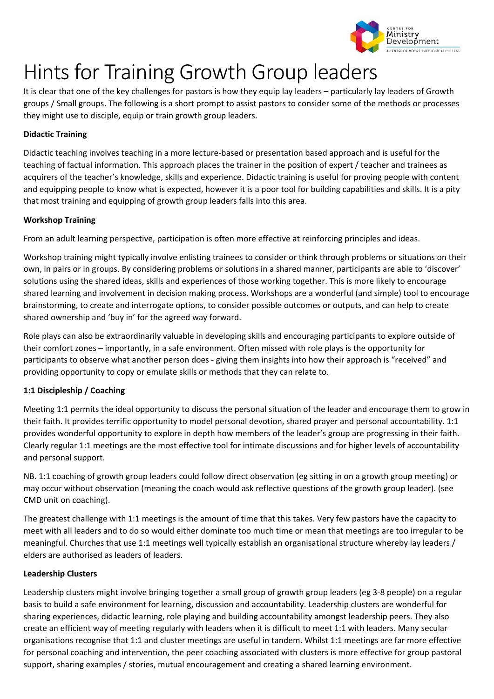

# Hints for Training Growth Group leaders

It is clear that one of the key challenges for pastors is how they equip lay leaders – particularly lay leaders of Growth groups / Small groups. The following is a short prompt to assist pastors to consider some of the methods or processes they might use to disciple, equip or train growth group leaders.

## **Didactic Training**

Didactic teaching involves teaching in a more lecture‐based or presentation based approach and is useful for the teaching of factual information. This approach places the trainer in the position of expert / teacher and trainees as acquirers of the teacher's knowledge, skills and experience. Didactic training is useful for proving people with content and equipping people to know what is expected, however it is a poor tool for building capabilities and skills. It is a pity that most training and equipping of growth group leaders falls into this area.

## **Workshop Training**

From an adult learning perspective, participation is often more effective at reinforcing principles and ideas.

Workshop training might typically involve enlisting trainees to consider or think through problems or situations on their own, in pairs or in groups. By considering problems or solutions in a shared manner, participants are able to 'discover' solutions using the shared ideas, skills and experiences of those working together. This is more likely to encourage shared learning and involvement in decision making process. Workshops are a wonderful (and simple) tool to encourage brainstorming, to create and interrogate options, to consider possible outcomes or outputs, and can help to create shared ownership and 'buy in' for the agreed way forward.

Role plays can also be extraordinarily valuable in developing skills and encouraging participants to explore outside of their comfort zones – importantly, in a safe environment. Often missed with role plays is the opportunity for participants to observe what another person does ‐ giving them insights into how their approach is "received" and providing opportunity to copy or emulate skills or methods that they can relate to.

## **1:1 Discipleship / Coaching**

Meeting 1:1 permits the ideal opportunity to discuss the personal situation of the leader and encourage them to grow in their faith. It provides terrific opportunity to model personal devotion, shared prayer and personal accountability. 1:1 provides wonderful opportunity to explore in depth how members of the leader's group are progressing in their faith. Clearly regular 1:1 meetings are the most effective tool for intimate discussions and for higher levels of accountability and personal support.

NB. 1:1 coaching of growth group leaders could follow direct observation (eg sitting in on a growth group meeting) or may occur without observation (meaning the coach would ask reflective questions of the growth group leader). (see CMD unit on coaching).

The greatest challenge with 1:1 meetings is the amount of time that this takes. Very few pastors have the capacity to meet with all leaders and to do so would either dominate too much time or mean that meetings are too irregular to be meaningful. Churches that use 1:1 meetings well typically establish an organisational structure whereby lay leaders / elders are authorised as leaders of leaders.

## **Leadership Clusters**

Leadership clusters might involve bringing together a small group of growth group leaders (eg 3‐8 people) on a regular basis to build a safe environment for learning, discussion and accountability. Leadership clusters are wonderful for sharing experiences, didactic learning, role playing and building accountability amongst leadership peers. They also create an efficient way of meeting regularly with leaders when it is difficult to meet 1:1 with leaders. Many secular organisations recognise that 1:1 and cluster meetings are useful in tandem. Whilst 1:1 meetings are far more effective for personal coaching and intervention, the peer coaching associated with clusters is more effective for group pastoral support, sharing examples / stories, mutual encouragement and creating a shared learning environment.